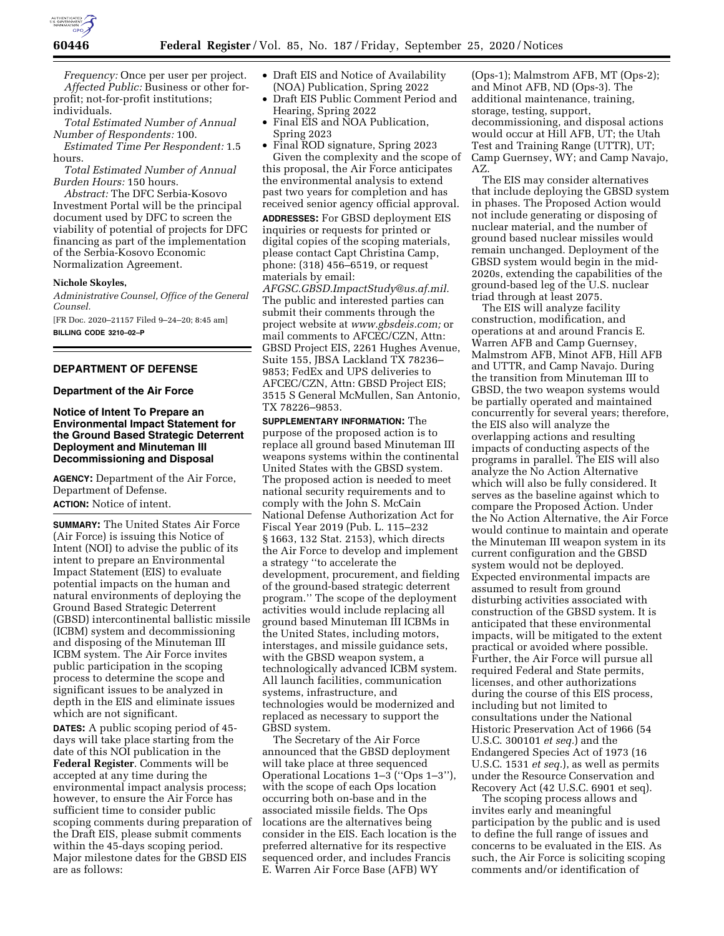

*Frequency:* Once per user per project. *Affected Public:* Business or other forprofit; not-for-profit institutions; individuals.

*Total Estimated Number of Annual Number of Respondents:* 100.

*Estimated Time Per Respondent:* 1.5 hours.

*Total Estimated Number of Annual Burden Hours:* 150 hours.

*Abstract:* The DFC Serbia-Kosovo Investment Portal will be the principal document used by DFC to screen the viability of potential of projects for DFC financing as part of the implementation of the Serbia-Kosovo Economic Normalization Agreement.

#### **Nichole Skoyles,**

*Administrative Counsel, Office of the General Counsel.* 

[FR Doc. 2020–21157 Filed 9–24–20; 8:45 am] **BILLING CODE 3210–02–P** 

## **DEPARTMENT OF DEFENSE**

#### **Department of the Air Force**

## **Notice of Intent To Prepare an Environmental Impact Statement for the Ground Based Strategic Deterrent Deployment and Minuteman III Decommissioning and Disposal**

**AGENCY:** Department of the Air Force, Department of Defense.

**ACTION:** Notice of intent.

**SUMMARY:** The United States Air Force (Air Force) is issuing this Notice of Intent (NOI) to advise the public of its intent to prepare an Environmental Impact Statement (EIS) to evaluate potential impacts on the human and natural environments of deploying the Ground Based Strategic Deterrent (GBSD) intercontinental ballistic missile (ICBM) system and decommissioning and disposing of the Minuteman III ICBM system. The Air Force invites public participation in the scoping process to determine the scope and significant issues to be analyzed in depth in the EIS and eliminate issues which are not significant.

**DATES:** A public scoping period of 45 days will take place starting from the date of this NOI publication in the **Federal Register**. Comments will be accepted at any time during the environmental impact analysis process; however, to ensure the Air Force has sufficient time to consider public scoping comments during preparation of the Draft EIS, please submit comments within the 45-days scoping period. Major milestone dates for the GBSD EIS are as follows:

- Draft EIS and Notice of Availability (NOA) Publication, Spring 2022
- Draft EIS Public Comment Period and Hearing, Spring 2022
- Final EIS and NOA Publication, Spring 2023

• Final ROD signature, Spring 2023 Given the complexity and the scope of this proposal, the Air Force anticipates the environmental analysis to extend past two years for completion and has received senior agency official approval.

**ADDRESSES:** For GBSD deployment EIS inquiries or requests for printed or digital copies of the scoping materials, please contact Capt Christina Camp, phone: (318) 456–6519, or request materials by email:

*[AFGSC.GBSD.ImpactStudy@us.af.mil.](mailto:AFGSC.GBSD.ImpactStudy@us.af.mil)*  The public and interested parties can submit their comments through the project website at *[www.gbsdeis.com;](http://www.gbsdeis.com)* or mail comments to AFCEC/CZN, Attn: GBSD Project EIS, 2261 Hughes Avenue, Suite 155, JBSA Lackland TX 78236– 9853; FedEx and UPS deliveries to AFCEC/CZN, Attn: GBSD Project EIS; 3515 S General McMullen, San Antonio, TX 78226–9853.

**SUPPLEMENTARY INFORMATION:** The purpose of the proposed action is to replace all ground based Minuteman III weapons systems within the continental United States with the GBSD system. The proposed action is needed to meet national security requirements and to comply with the John S. McCain National Defense Authorization Act for Fiscal Year 2019 (Pub. L. 115–232 § 1663, 132 Stat. 2153), which directs the Air Force to develop and implement a strategy ''to accelerate the development, procurement, and fielding of the ground-based strategic deterrent program.'' The scope of the deployment activities would include replacing all ground based Minuteman III ICBMs in the United States, including motors, interstages, and missile guidance sets, with the GBSD weapon system, a technologically advanced ICBM system. All launch facilities, communication systems, infrastructure, and technologies would be modernized and replaced as necessary to support the GBSD system.

The Secretary of the Air Force announced that the GBSD deployment will take place at three sequenced Operational Locations 1–3 (''Ops 1–3''), with the scope of each Ops location occurring both on-base and in the associated missile fields. The Ops locations are the alternatives being consider in the EIS. Each location is the preferred alternative for its respective sequenced order, and includes Francis E. Warren Air Force Base (AFB) WY

(Ops-1); Malmstrom AFB, MT (Ops-2); and Minot AFB, ND (Ops-3). The additional maintenance, training, storage, testing, support, decommissioning, and disposal actions would occur at Hill AFB, UT; the Utah Test and Training Range (UTTR), UT; Camp Guernsey, WY; and Camp Navajo, AZ.

The EIS may consider alternatives that include deploying the GBSD system in phases. The Proposed Action would not include generating or disposing of nuclear material, and the number of ground based nuclear missiles would remain unchanged. Deployment of the GBSD system would begin in the mid-2020s, extending the capabilities of the ground-based leg of the U.S. nuclear triad through at least 2075.

The EIS will analyze facility construction, modification, and operations at and around Francis E. Warren AFB and Camp Guernsey, Malmstrom AFB, Minot AFB, Hill AFB and UTTR, and Camp Navajo. During the transition from Minuteman III to GBSD, the two weapon systems would be partially operated and maintained concurrently for several years; therefore, the EIS also will analyze the overlapping actions and resulting impacts of conducting aspects of the programs in parallel. The EIS will also analyze the No Action Alternative which will also be fully considered. It serves as the baseline against which to compare the Proposed Action. Under the No Action Alternative, the Air Force would continue to maintain and operate the Minuteman III weapon system in its current configuration and the GBSD system would not be deployed. Expected environmental impacts are assumed to result from ground disturbing activities associated with construction of the GBSD system. It is anticipated that these environmental impacts, will be mitigated to the extent practical or avoided where possible. Further, the Air Force will pursue all required Federal and State permits, licenses, and other authorizations during the course of this EIS process, including but not limited to consultations under the National Historic Preservation Act of 1966 (54 U.S.C. 300101 *et seq.*) and the Endangered Species Act of 1973 (16 U.S.C. 1531 *et seq.*), as well as permits under the Resource Conservation and Recovery Act (42 U.S.C. 6901 et seq).

The scoping process allows and invites early and meaningful participation by the public and is used to define the full range of issues and concerns to be evaluated in the EIS. As such, the Air Force is soliciting scoping comments and/or identification of